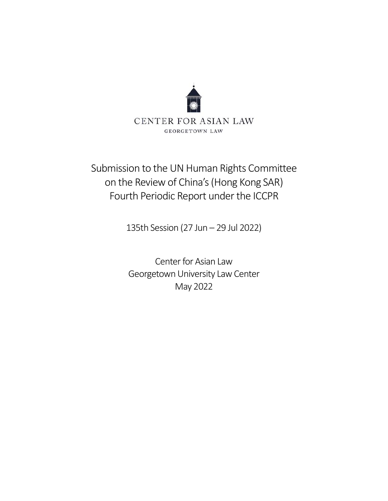

# Submission to the UN Human Rights Committee on the Review of China's (Hong Kong SAR) Fourth Periodic Report under the ICCPR

135th Session (27 Jun – 29 Jul 2022)

Center for Asian Law Georgetown University Law Center May 2022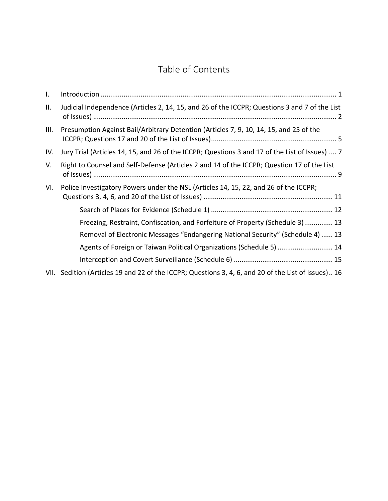## Table of Contents

| I.   |                                                                                                     |
|------|-----------------------------------------------------------------------------------------------------|
| Ш.   | Judicial Independence (Articles 2, 14, 15, and 26 of the ICCPR; Questions 3 and 7 of the List       |
| III. | Presumption Against Bail/Arbitrary Detention (Articles 7, 9, 10, 14, 15, and 25 of the              |
| IV.  | Jury Trial (Articles 14, 15, and 26 of the ICCPR; Questions 3 and 17 of the List of Issues)  7      |
| V.   | Right to Counsel and Self-Defense (Articles 2 and 14 of the ICCPR; Question 17 of the List          |
| VI.  | Police Investigatory Powers under the NSL (Articles 14, 15, 22, and 26 of the ICCPR;                |
|      |                                                                                                     |
|      | Freezing, Restraint, Confiscation, and Forfeiture of Property (Schedule 3) 13                       |
|      | Removal of Electronic Messages "Endangering National Security" (Schedule 4)  13                     |
|      | Agents of Foreign or Taiwan Political Organizations (Schedule 5)  14                                |
|      |                                                                                                     |
|      | VII. Sedition (Articles 19 and 22 of the ICCPR; Questions 3, 4, 6, and 20 of the List of Issues) 16 |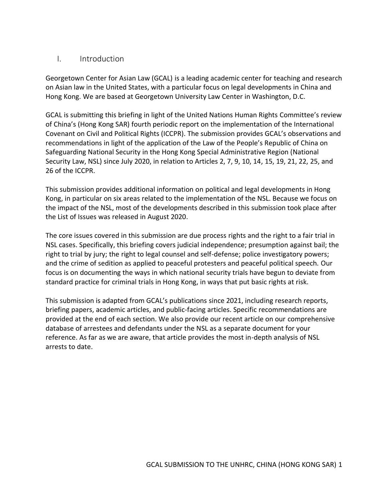#### <span id="page-2-0"></span>I. Introduction

Georgetown Center for Asian Law (GCAL) is a leading academic center for teaching and research on Asian law in the United States, with a particular focus on legal developments in China and Hong Kong. We are based at Georgetown University Law Center in Washington, D.C.

GCAL is submitting this briefing in light of the United Nations Human Rights Committee's review of China's (Hong Kong SAR) fourth periodic report on the implementation of the International Covenant on Civil and Political Rights (ICCPR). The submission provides GCAL's observations and recommendations in light of the application of the Law of the People's Republic of China on Safeguarding National Security in the Hong Kong Special Administrative Region (National Security Law, NSL) since July 2020, in relation to Articles 2, 7, 9, 10, 14, 15, 19, 21, 22, 25, and 26 of the ICCPR.

This submission provides additional information on political and legal developments in Hong Kong, in particular on six areas related to the implementation of the NSL. Because we focus on the impact of the NSL, most of the developments described in this submission took place after the List of Issues was released in August 2020.

The core issues covered in this submission are due process rights and the right to a fair trial in NSL cases. Specifically, this briefing covers judicial independence; presumption against bail; the right to trial by jury; the right to legal counsel and self-defense; police investigatory powers; and the crime of sedition as applied to peaceful protesters and peaceful political speech. Our focus is on documenting the ways in which national security trials have begun to deviate from standard practice for criminal trials in Hong Kong, in ways that put basic rights at risk.

This submission is adapted from GCAL's publications since 2021, including research reports, briefing papers, academic articles, and public-facing articles. Specific recommendations are provided at the end of each section. We also provide our recent article on our comprehensive database of arrestees and defendants under the NSL as a separate document for your reference. As far as we are aware, that article provides the most in-depth analysis of NSL arrests to date.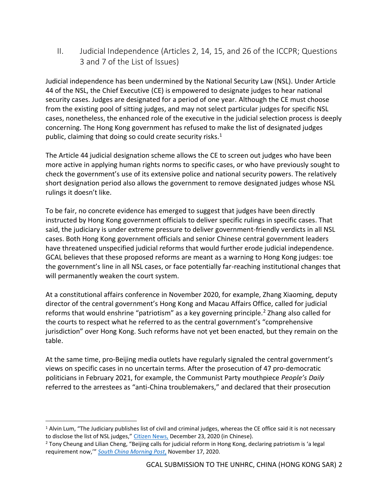<span id="page-3-0"></span>II. Judicial Independence (Articles 2, 14, 15, and 26 of the ICCPR; Questions 3 and 7 of the List of Issues)

Judicial independence has been undermined by the National Security Law (NSL). Under Article 44 of the NSL, the Chief Executive (CE) is empowered to designate judges to hear national security cases. Judges are designated for a period of one year. Although the CE must choose from the existing pool of sitting judges, and may not select particular judges for specific NSL cases, nonetheless, the enhanced role of the executive in the judicial selection process is deeply concerning. The Hong Kong government has refused to make the list of designated judges public, claiming that doing so could create security risks.<sup>1</sup>

The Article 44 judicial designation scheme allows the CE to screen out judges who have been more active in applying human rights norms to specific cases, or who have previously sought to check the government's use of its extensive police and national security powers. The relatively short designation period also allows the government to remove designated judges whose NSL rulings it doesn't like.

To be fair, no concrete evidence has emerged to suggest that judges have been directly instructed by Hong Kong government officials to deliver specific rulings in specific cases. That said, the judiciary is under extreme pressure to deliver government-friendly verdicts in all NSL cases. Both Hong Kong government officials and senior Chinese central government leaders have threatened unspecified judicial reforms that would further erode judicial independence. GCAL believes that these proposed reforms are meant as a warning to Hong Kong judges: toe the government's line in all NSL cases, or face potentially far-reaching institutional changes that will permanently weaken the court system.

At a constitutional affairs conference in November 2020, for example, Zhang Xiaoming, deputy director of the central government's Hong Kong and Macau Affairs Office, called for judicial reforms that would enshrine "patriotism" as a key governing principle.<sup>2</sup> Zhang also called for the courts to respect what he referred to as the central government's "comprehensive jurisdiction" over Hong Kong. Such reforms have not yet been enacted, but they remain on the table.

At the same time, pro-Beijing media outlets have regularly signaled the central government's views on specific cases in no uncertain terms. After the prosecution of 47 pro-democratic politicians in February 2021, for example, the Communist Party mouthpiece *People's Daily* referred to the arrestees as "anti-China troublemakers," and declared that their prosecution

 $1$  Alvin Lum, "The Judiciary publishes list of civil and criminal judges, whereas the CE office said it is not necessary to disclose the list of NSL judges," [Citizen](https://www.hkcnews.com/article/36675/%E6%8C%87%E5%AE%9A%E6%B3%95%E5%AE%98-%E6%B8%AF%E7%89%88%E5%9C%8B%E5%AE%89%E6%B3%95-%E5%85%AC%E9%96%8B%E8%B3%87%E6%96%99%E5%AE%88%E5%89%87-36683/%E5%8F%B8%E6%B3%95%E6%A9%9F%E6%A7%8B%E5%85%AC%E9%96%8B%E6%B0%91%E5%88%91%E4%BA%8B%E6%B3%95%E5%AE%98%E5%90%8D%E5%96%AE-%E7%89%B9%E9%A6%96%E8%BE%A6%EF%BC%9A%E6%AF%8B%E9%A0%88%E5%85%AC%E9%96%8B%E5%9C%8B%E5%AE%89%E6%B3%95%E5%AE%98%E5%90%8D%E5%96%AE) News, December 23, 2020 (in Chinese).

<sup>2</sup> Tony Cheung and Lilian Cheng, "Beijing calls for judicial reform in Hong Kong, declaring patriotism is 'a legal requirement now,'" *[South China Morning Post](https://www.scmp.com/news/hong-kong/politics/article/3110123/top-beijing-official-tells-hong-kong-legal-summit-time-has)*, November 17, 2020.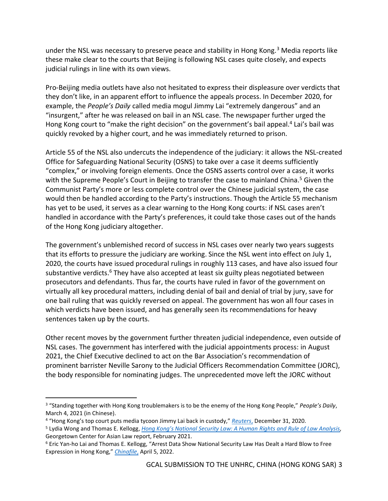under the NSL was necessary to preserve peace and stability in Hong Kong.<sup>3</sup> Media reports like these make clear to the courts that Beijing is following NSL cases quite closely, and expects judicial rulings in line with its own views.

Pro-Beijing media outlets have also not hesitated to express their displeasure over verdicts that they don't like, in an apparent effort to influence the appeals process. In December 2020, for example, the *People's Daily* called media mogul Jimmy Lai "extremely dangerous" and an "insurgent," after he was released on bail in an NSL case. The newspaper further urged the Hong Kong court to "make the right decision" on the government's bail appeal.<sup>4</sup> Lai's bail was quickly revoked by a higher court, and he was immediately returned to prison.

Article 55 of the NSL also undercuts the independence of the judiciary: it allows the NSL-created Office for Safeguarding National Security (OSNS) to take over a case it deems sufficiently "complex," or involving foreign elements. Once the OSNS asserts control over a case, it works with the Supreme People's Court in Beijing to transfer the case to mainland China.<sup>5</sup> Given the Communist Party's more or less complete control over the Chinese judicial system, the case would then be handled according to the Party's instructions. Though the Article 55 mechanism has yet to be used, it serves as a clear warning to the Hong Kong courts: if NSL cases aren't handled in accordance with the Party's preferences, it could take those cases out of the hands of the Hong Kong judiciary altogether.

The government's unblemished record of success in NSL cases over nearly two years suggests that its efforts to pressure the judiciary are working. Since the NSL went into effect on July 1, 2020, the courts have issued procedural rulings in roughly 113 cases, and have also issued four substantive verdicts.<sup>6</sup> They have also accepted at least six guilty pleas negotiated between prosecutors and defendants. Thus far, the courts have ruled in favor of the government on virtually all key procedural matters, including denial of bail and denial of trial by jury, save for one bail ruling that was quickly reversed on appeal. The government has won all four cases in which verdicts have been issued, and has generally seen its recommendations for heavy sentences taken up by the courts.

Other recent moves by the government further threaten judicial independence, even outside of NSL cases. The government has interfered with the judicial appointments process: in August 2021, the Chief Executive declined to act on the Bar Association's recommendation of prominent barrister Neville Sarony to the Judicial Officers Recommendation Committee (JORC), the body responsible for nominating judges. The unprecedented move left the JORC without

<sup>3</sup> "Standing together with Hong Kong troublemakers is to be the enemy of the Hong Kong People," *People's Daily*, March 4, 2021 (in Chinese).

<sup>4</sup> "Hong Kong's top court puts media tycoon Jimmy Lai back in custody," *[Reuters](https://www.reuters.com/article/us-hongkong-security-jimmy-lai/hong-kongs-top-court-puts-media-tycoon-jimmy-lai-back-in-custody-idUSKBN2950Q3)*, December 31, 2020.

<sup>5</sup> Lydia Wong and Thomas E. Kellogg, *[Hong Kong's National Security Law: A Human](https://www.law.georgetown.edu/law-asia/wp-content/uploads/sites/31/2021/02/GT-HK-Report-Accessible.pdf) Rights and Rule of Law Analysis,*  Georgetown Center for Asian Law report, February 2021.

<sup>6</sup> Eric Yan-ho Lai and Thomas E. Kellogg, "Arrest Data Show National Security Law Has Dealt a Hard Blow to Free Expression in Hong Kong," *[Chinafile](https://www.chinafile.com/reporting-opinion/features/arrest-data-show-national-security-law-has-dealt-hard-blow-free)*, April 5, 2022.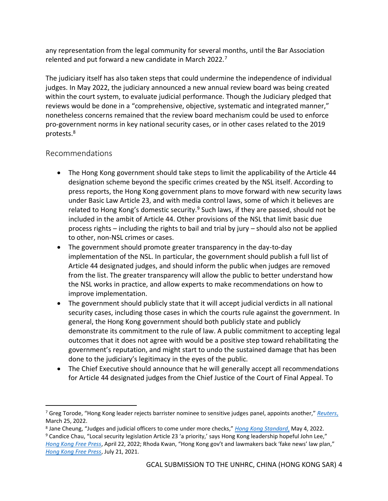any representation from the legal community for several months, until the Bar Association relented and put forward a new candidate in March 2022.<sup>7</sup>

The judiciary itself has also taken steps that could undermine the independence of individual judges. In May 2022, the judiciary announced a new annual review board was being created within the court system, to evaluate judicial performance. Though the Judiciary pledged that reviews would be done in a "comprehensive, objective, systematic and integrated manner," nonetheless concerns remained that the review board mechanism could be used to enforce pro-government norms in key national security cases, or in other cases related to the 2019 protests.<sup>8</sup>

## Recommendations

- The Hong Kong government should take steps to limit the applicability of the Article 44 designation scheme beyond the specific crimes created by the NSL itself. According to press reports, the Hong Kong government plans to move forward with new security laws under Basic Law Article 23, and with media control laws, some of which it believes are related to Hong Kong's domestic security.<sup>9</sup> Such laws, if they are passed, should not be included in the ambit of Article 44. Other provisions of the NSL that limit basic due process rights – including the rights to bail and trial by jury – should also not be applied to other, non-NSL crimes or cases.
- The government should promote greater transparency in the day-to-day implementation of the NSL. In particular, the government should publish a full list of Article 44 designated judges, and should inform the public when judges are removed from the list. The greater transparency will allow the public to better understand how the NSL works in practice, and allow experts to make recommendations on how to improve implementation.
- The government should publicly state that it will accept judicial verdicts in all national security cases, including those cases in which the courts rule against the government. In general, the Hong Kong government should both publicly state and publicly demonstrate its commitment to the rule of law. A public commitment to accepting legal outcomes that it does not agree with would be a positive step toward rehabilitating the government's reputation, and might start to undo the sustained damage that has been done to the judiciary's legitimacy in the eyes of the public.
- The Chief Executive should announce that he will generally accept all recommendations for Article 44 designated judges from the Chief Justice of the Court of Final Appeal. To

<sup>7</sup> Greg Torode, "Hong Kong leader rejects barrister nominee to sensitive judges panel, appoints another," *[Reuters](https://www.reuters.com/world/china/hong-kong-leader-rejects-barrister-nominee-sensitive-judges-panel-appoints-2022-03-25/)*, March 25, 2022.

<sup>8</sup> Jane Cheung, "Judges and judicial officers to come under more checks," *[Hong Kong Standard](https://www.thestandard.com.hk/section-news/section/11/241382/Judges-and-judicial-officers-to-come-under-more-checks)*, May 4, 2022.

<sup>&</sup>lt;sup>9</sup> Candice Chau, "Local security legislation Article 23 'a priority,' says Hong Kong leadership hopeful John Lee," *[Hong Kong Free Press](https://hongkongfp.com/2022/04/12/local-security-legislation-article-23-a-priority-says-hong-kong-leadership-hopeful-john-lee/)*, April 22, 2022; Rhoda Kwan, "Hong Kong gov't and lawmakers back 'fake news' law plan," *[Hong Kong Free Press](https://hongkongfp.com/2021/07/21/hong-kong-govt-and-lawmakers-back-fake-news-law-plan-press-union-chief-warns-of-new-sword-over-journalists-heads/)*, July 21, 2021.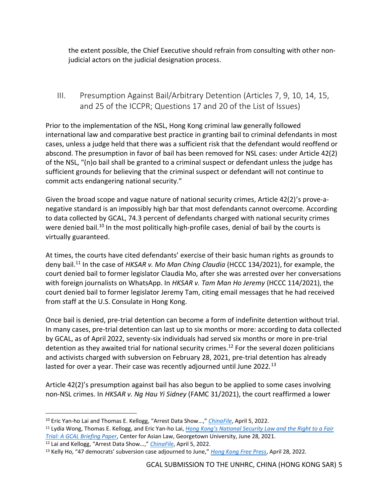the extent possible, the Chief Executive should refrain from consulting with other nonjudicial actors on the judicial designation process.

## <span id="page-6-0"></span>III. Presumption Against Bail/Arbitrary Detention (Articles 7, 9, 10, 14, 15, and 25 of the ICCPR; Questions 17 and 20 of the List of Issues)

Prior to the implementation of the NSL, Hong Kong criminal law generally followed international law and comparative best practice in granting bail to criminal defendants in most cases, unless a judge held that there was a sufficient risk that the defendant would reoffend or abscond. The presumption in favor of bail has been removed for NSL cases: under Article 42(2) of the NSL, "(n)o bail shall be granted to a criminal suspect or defendant unless the judge has sufficient grounds for believing that the criminal suspect or defendant will not continue to commit acts endangering national security."

Given the broad scope and vague nature of national security crimes, Article 42(2)'s prove-anegative standard is an impossibly high bar that most defendants cannot overcome. According to data collected by GCAL, 74.3 percent of defendants charged with national security crimes were denied bail.<sup>10</sup> In the most politically high-profile cases, denial of bail by the courts is virtually guaranteed.

At times, the courts have cited defendants' exercise of their basic human rights as grounds to deny bail.<sup>11</sup> In the case of *HKSAR v. Mo Man Ching Claudia* (HCCC 134/2021), for example, the court denied bail to former legislator Claudia Mo, after she was arrested over her conversations with foreign journalists on WhatsApp. In *HKSAR v. Tam Man Ho Jeremy* (HCCC 114/2021), the court denied bail to former legislator Jeremy Tam, citing email messages that he had received from staff at the U.S. Consulate in Hong Kong.

Once bail is denied, pre-trial detention can become a form of indefinite detention without trial. In many cases, pre-trial detention can last up to six months or more: according to data collected by GCAL, as of April 2022, seventy-six individuals had served six months or more in pre-trial detention as they awaited trial for national security crimes.<sup>12</sup> For the several dozen politicians and activists charged with subversion on February 28, 2021, pre-trial detention has already lasted for over a year. Their case was recently adjourned until June 2022.<sup>13</sup>

Article 42(2)'s presumption against bail has also begun to be applied to some cases involving non-NSL crimes. In *HKSAR v. Ng Hau Yi Sidney* (FAMC 31/2021), the court reaffirmed a lower

<sup>10</sup> Eric Yan-ho Lai and Thomas E. Kellogg, "Arrest Data Show…," *[ChinaFile](https://www.chinafile.com/reporting-opinion/features/arrest-data-show-national-security-law-has-dealt-hard-blow-free)*, April 5, 2022.

<sup>11</sup> Lydia Wong, Thomas E. Kellogg, and Eric Yan-ho Lai, *[Hong Kong's National Security Law and the Right to a Fair](https://www.law.georgetown.edu/law-asia/wp-content/uploads/sites/31/2021/06/HongKongNSLRightToFairTrial.pdf)  [Trial: A GCAL Briefing Paper](https://www.law.georgetown.edu/law-asia/wp-content/uploads/sites/31/2021/06/HongKongNSLRightToFairTrial.pdf)*, Center for Asian Law, Georgetown University, June 28, 2021. <sup>12</sup> Lai and Kellogg, "Arrest Data Show…," *[ChinaFile](https://www.chinafile.com/reporting-opinion/features/arrest-data-show-national-security-law-has-dealt-hard-blow-free)*, April 5, 2022.

<sup>13</sup> Kelly Ho, "47 democrats' subversion case adjourned to June," *[Hong Kong Free Press](https://hongkongfp.com/2022/04/28/47-democrats-subversion-case-adjourned-to-june/)*, April 28, 2022.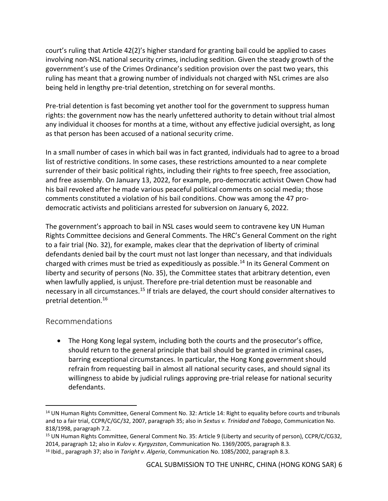court's ruling that Article 42(2)'s higher standard for granting bail could be applied to cases involving non-NSL national security crimes, including sedition. Given the steady growth of the government's use of the Crimes Ordinance's sedition provision over the past two years, this ruling has meant that a growing number of individuals not charged with NSL crimes are also being held in lengthy pre-trial detention, stretching on for several months.

Pre-trial detention is fast becoming yet another tool for the government to suppress human rights: the government now has the nearly unfettered authority to detain without trial almost any individual it chooses for months at a time, without any effective judicial oversight, as long as that person has been accused of a national security crime.

In a small number of cases in which bail was in fact granted, individuals had to agree to a broad list of restrictive conditions. In some cases, these restrictions amounted to a near complete surrender of their basic political rights, including their rights to free speech, free association, and free assembly. On January 13, 2022, for example, pro-democratic activist Owen Chow had his bail revoked after he made various peaceful political comments on social media; those comments constituted a violation of his bail conditions. Chow was among the 47 prodemocratic activists and politicians arrested for subversion on January 6, 2022.

The government's approach to bail in NSL cases would seem to contravene key UN Human Rights Committee decisions and General Comments. The HRC's General Comment on the right to a fair trial (No. 32), for example, makes clear that the deprivation of liberty of criminal defendants denied bail by the court must not last longer than necessary, and that individuals charged with crimes must be tried as expeditiously as possible.<sup>14</sup> In its General Comment on liberty and security of persons (No. 35), the Committee states that arbitrary detention, even when lawfully applied, is unjust. Therefore pre-trial detention must be reasonable and necessary in all circumstances.<sup>15</sup> If trials are delayed, the court should consider alternatives to pretrial detention.<sup>16</sup>

#### Recommendations

• The Hong Kong legal system, including both the courts and the prosecutor's office, should return to the general principle that bail should be granted in criminal cases, barring exceptional circumstances. In particular, the Hong Kong government should refrain from requesting bail in almost all national security cases, and should signal its willingness to abide by judicial rulings approving pre-trial release for national security defendants.

<sup>&</sup>lt;sup>14</sup> UN Human Rights Committee, General Comment No. 32: Article 14: Right to equality before courts and tribunals and to a fair trial, CCPR/C/GC/32, 2007, paragraph 35; also in *Sextus v. Trinidad and Tobago*, Communication No. 818/1998, paragraph 7.2.

<sup>15</sup> UN Human Rights Committee, General Comment No. 35: Article 9 (Liberty and security of person), CCPR/C/CG32, 2014, paragraph 12; also in *Kulov v. Kyrgyzstan*, Communication No. 1369/2005, paragraph 8.3.

<sup>16</sup> Ibid., paragraph 37; also in *Taright v. Algeria*, Communication No. 1085/2002, paragraph 8.3.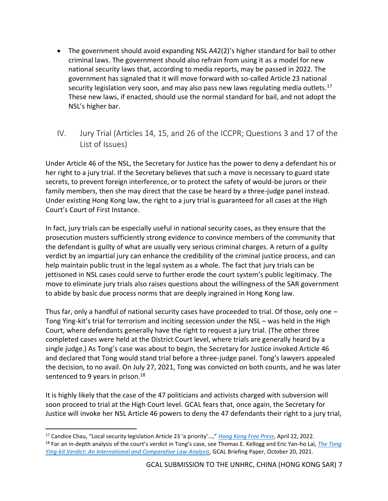- The government should avoid expanding NSL A42(2)'s higher standard for bail to other criminal laws. The government should also refrain from using it as a model for new national security laws that, according to media reports, may be passed in 2022. The government has signaled that it will move forward with so-called Article 23 national security legislation very soon, and may also pass new laws regulating media outlets.<sup>17</sup> These new laws, if enacted, should use the normal standard for bail, and not adopt the NSL's higher bar.
- <span id="page-8-0"></span>IV. Jury Trial (Articles 14, 15, and 26 of the ICCPR; Questions 3 and 17 of the List of Issues)

Under Article 46 of the NSL, the Secretary for Justice has the power to deny a defendant his or her right to a jury trial. If the Secretary believes that such a move is necessary to guard state secrets, to prevent foreign interference, or to protect the safety of would-be jurors or their family members, then she may direct that the case be heard by a three-judge panel instead. Under existing Hong Kong law, the right to a jury trial is guaranteed for all cases at the High Court's Court of First Instance.

In fact, jury trials can be especially useful in national security cases, as they ensure that the prosecution musters sufficiently strong evidence to convince members of the community that the defendant is guilty of what are usually very serious criminal charges. A return of a guilty verdict by an impartial jury can enhance the credibility of the criminal justice process, and can help maintain public trust in the legal system as a whole. The fact that jury trials can be jettisoned in NSL cases could serve to further erode the court system's public legitimacy. The move to eliminate jury trials also raises questions about the willingness of the SAR government to abide by basic due process norms that are deeply ingrained in Hong Kong law.

Thus far, only a handful of national security cases have proceeded to trial. Of those, only one – Tong Ying-kit's trial for terrorism and inciting secession under the NSL – was held in the High Court, where defendants generally have the right to request a jury trial. (The other three completed cases were held at the District Court level, where trials are generally heard by a single judge.) As Tong's case was about to begin, the Secretary for Justice invoked Article 46 and declared that Tong would stand trial before a three-judge panel. Tong's lawyers appealed the decision, to no avail. On July 27, 2021, Tong was convicted on both counts, and he was later sentenced to 9 years in prison. $18$ 

It is highly likely that the case of the 47 politicians and activists charged with subversion will soon proceed to trial at the High Court level. GCAL fears that, once again, the Secretary for Justice will invoke her NSL Article 46 powers to deny the 47 defendants their right to a jury trial,

<sup>17</sup> Candice Chau, "Local security legislation Article 23 'a priority'…," *[Hong Kong Free Press](https://hongkongfp.com/2022/04/12/local-security-legislation-article-23-a-priority-says-hong-kong-leadership-hopeful-john-lee/)*, April 22, 2022. <sup>18</sup> For an in-depth analysis of the court's verdict in Tong's case, see Thomas E. Kellogg and Eric Yan-ho Lai, *[The Tong](https://www.law.georgetown.edu/law-asia/wp-content/uploads/sites/31/2021/10/TongYingKitVerdictGCAL.pdf)  [Ying-kit Verdict: An International and Comparative Law Analysis](https://www.law.georgetown.edu/law-asia/wp-content/uploads/sites/31/2021/10/TongYingKitVerdictGCAL.pdf)*, GCAL Briefing Paper, October 20, 2021.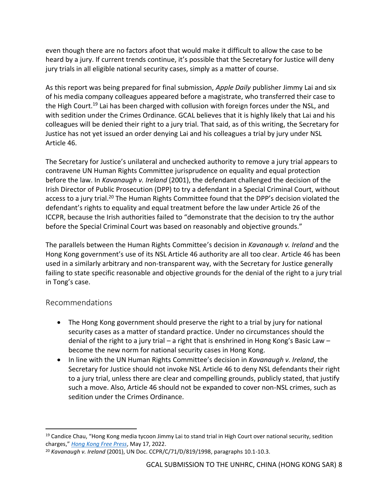even though there are no factors afoot that would make it difficult to allow the case to be heard by a jury. If current trends continue, it's possible that the Secretary for Justice will deny jury trials in all eligible national security cases, simply as a matter of course.

As this report was being prepared for final submission, *Apple Daily* publisher Jimmy Lai and six of his media company colleagues appeared before a magistrate, who transferred their case to the High Court.<sup>19</sup> Lai has been charged with collusion with foreign forces under the NSL, and with sedition under the Crimes Ordinance. GCAL believes that it is highly likely that Lai and his colleagues will be denied their right to a jury trial. That said, as of this writing, the Secretary for Justice has not yet issued an order denying Lai and his colleagues a trial by jury under NSL Article 46.

The Secretary for Justice's unilateral and unchecked authority to remove a jury trial appears to contravene UN Human Rights Committee jurisprudence on equality and equal protection before the law. In *Kavanaugh v. Ireland* (2001), the defendant challenged the decision of the Irish Director of Public Prosecution (DPP) to try a defendant in a Special Criminal Court, without access to a jury trial.<sup>20</sup> The Human Rights Committee found that the DPP's decision violated the defendant's rights to equality and equal treatment before the law under Article 26 of the ICCPR, because the Irish authorities failed to "demonstrate that the decision to try the author before the Special Criminal Court was based on reasonably and objective grounds."

The parallels between the Human Rights Committee's decision in *Kavanaugh v. Ireland* and the Hong Kong government's use of its NSL Article 46 authority are all too clear. Article 46 has been used in a similarly arbitrary and non-transparent way, with the Secretary for Justice generally failing to state specific reasonable and objective grounds for the denial of the right to a jury trial in Tong's case.

## Recommendations

- The Hong Kong government should preserve the right to a trial by jury for national security cases as a matter of standard practice. Under no circumstances should the denial of the right to a jury trial – a right that is enshrined in Hong Kong's Basic Law – become the new norm for national security cases in Hong Kong.
- In line with the UN Human Rights Committee's decision in *Kavanaugh v. Ireland*, the Secretary for Justice should not invoke NSL Article 46 to deny NSL defendants their right to a jury trial, unless there are clear and compelling grounds, publicly stated, that justify such a move. Also, Article 46 should not be expanded to cover non-NSL crimes, such as sedition under the Crimes Ordinance.

<sup>&</sup>lt;sup>19</sup> Candice Chau, "Hong Kong media tycoon Jimmy Lai to stand trial in High Court over national security, sedition charges," *[Hong Kong Free Press](https://hongkongfp.com/2022/05/17/hong-kong-media-tycoon-jimmy-lai-to-stand-trial-in-high-court-over-national-security-sedition-charges/)*, May 17, 2022.

<sup>20</sup> *Kavanaugh v. Ireland* (2001), UN Doc. CCPR/C/71/D/819/1998, paragraphs 10.1-10.3.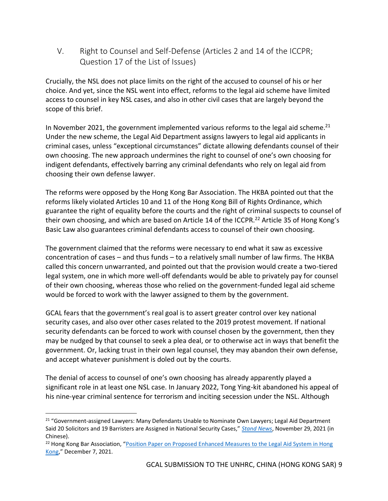<span id="page-10-0"></span>V. Right to Counsel and Self-Defense (Articles 2 and 14 of the ICCPR; Question 17 of the List of Issues)

Crucially, the NSL does not place limits on the right of the accused to counsel of his or her choice. And yet, since the NSL went into effect, reforms to the legal aid scheme have limited access to counsel in key NSL cases, and also in other civil cases that are largely beyond the scope of this brief.

In November 2021, the government implemented various reforms to the legal aid scheme.<sup>21</sup> Under the new scheme, the Legal Aid Department assigns lawyers to legal aid applicants in criminal cases, unless "exceptional circumstances" dictate allowing defendants counsel of their own choosing. The new approach undermines the right to counsel of one's own choosing for indigent defendants, effectively barring any criminal defendants who rely on legal aid from choosing their own defense lawyer.

The reforms were opposed by the Hong Kong Bar Association. The HKBA pointed out that the reforms likely violated Articles 10 and 11 of the Hong Kong Bill of Rights Ordinance, which guarantee the right of equality before the courts and the right of criminal suspects to counsel of their own choosing, and which are based on Article 14 of the ICCPR.<sup>22</sup> Article 35 of Hong Kong's Basic Law also guarantees criminal defendants access to counsel of their own choosing.

The government claimed that the reforms were necessary to end what it saw as excessive concentration of cases – and thus funds – to a relatively small number of law firms. The HKBA called this concern unwarranted, and pointed out that the provision would create a two-tiered legal system, one in which more well-off defendants would be able to privately pay for counsel of their own choosing, whereas those who relied on the government-funded legal aid scheme would be forced to work with the lawyer assigned to them by the government.

GCAL fears that the government's real goal is to assert greater control over key national security cases, and also over other cases related to the 2019 protest movement. If national security defendants can be forced to work with counsel chosen by the government, then they may be nudged by that counsel to seek a plea deal, or to otherwise act in ways that benefit the government. Or, lacking trust in their own legal counsel, they may abandon their own defense, and accept whatever punishment is doled out by the courts.

The denial of access to counsel of one's own choosing has already apparently played a significant role in at least one NSL case. In January 2022, Tong Ying-kit abandoned his appeal of his nine-year criminal sentence for terrorism and inciting secession under the NSL. Although

<sup>&</sup>lt;sup>21</sup> "Government-assigned Lawyers: Many Defendants Unable to Nominate Own Lawyers; Legal Aid Department Said 20 Solicitors and 19 Barristers are Assigned in National Security Cases," *[Stand News](https://lihkg.com/thread/2790775/page/1)*, November 29, 2021 (in Chinese).

<sup>&</sup>lt;sup>22</sup> Hong Kong Bar Association, "Position Paper on Proposed Enhanced Measures to the Legal Aid System in Hong [Kong](https://www.hkba.org/hidden/circulars/c445dc0c340e472f321741ed0b8d00fdafac4447.pdf)," December 7, 2021.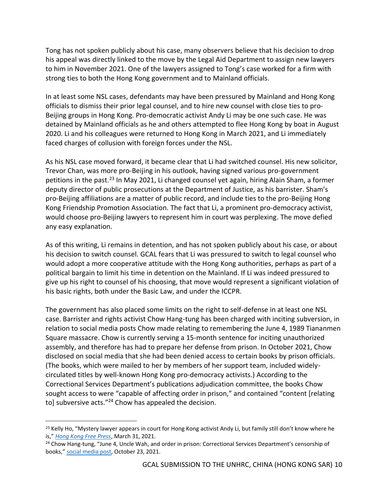Tong has not spoken publicly about his case, many observers believe that his decision to drop his appeal was directly linked to the move by the Legal Aid Department to assign new lawyers to him in November 2021. One of the lawyers assigned to Tong's case worked for a firm with strong ties to both the Hong Kong government and to Mainland officials.

In at least some NSL cases, defendants may have been pressured by Mainland and Hong Kong officials to dismiss their prior legal counsel, and to hire new counsel with close ties to pro-Beijing groups in Hong Kong. Pro-democratic activist Andy Li may be one such case. He was detained by Mainland officials as he and others attempted to flee Hong Kong by boat in August 2020. Li and his colleagues were returned to Hong Kong in March 2021, and Li immediately faced charges of collusion with foreign forces under the NSL.

As his NSL case moved forward, it became clear that Li had switched counsel. His new solicitor, Trevor Chan, was more pro-Beijing in his outlook, having signed various pro-government petitions in the past.<sup>23</sup> In May 2021, Li changed counsel yet again, hiring Alain Sham, a former deputy director of public prosecutions at the Department of Justice, as his barrister. Sham's pro-Beijing affiliations are a matter of public record, and include ties to the pro-Beijing Hong Kong Friendship Promotion Association. The fact that Li, a prominent pro-democracy activist, would choose pro-Beijing lawyers to represent him in court was perplexing. The move defied any easy explanation.

As of this writing, Li remains in detention, and has not spoken publicly about his case, or about his decision to switch counsel. GCAL fears that Li was pressured to switch to legal counsel who would adopt a more cooperative attitude with the Hong Kong authorities, perhaps as part of a political bargain to limit his time in detention on the Mainland. If Li was indeed pressured to give up his right to counsel of his choosing, that move would represent a significant violation of his basic rights, both under the Basic Law, and under the ICCPR.

The government has also placed some limits on the right to self-defense in at least one NSL case. Barrister and rights activist Chow Hang-tung has been charged with inciting subversion, in relation to social media posts Chow made relating to remembering the June 4, 1989 Tiananmen Square massacre. Chow is currently serving a 15-month sentence for inciting unauthorized assembly, and therefore has had to prepare her defense from prison. In October 2021, Chow disclosed on social media that she had been denied access to certain books by prison officials. (The books, which were mailed to her by members of her support team, included widelycirculated titles by well-known Hong Kong pro-democracy activists.) According to the Correctional Services Department's publications adjudication committee, the books Chow sought access to were "capable of affecting order in prison," and contained "content [relating to] subversive acts."<sup>24</sup> Chow has appealed the decision.

<sup>&</sup>lt;sup>23</sup> Kelly Ho, "Mystery lawyer appears in court for Hong Kong activist Andy Li, but family still don't know where he is," *[Hong Kong Free Press](https://hongkongfp.com/2021/03/31/mystery-lawyer-appears-in-court-for-hong-kong-activist-andy-li-but-family-still-dont-know-where-he-is/)*, March 31, 2021.

<sup>&</sup>lt;sup>24</sup> Chow Hang-tung, "June 4, Uncle Wah, and order in prison: Correctional Services Department's censorship of books," [social media post,](https://www.patreon.com/posts/liu-si-hua-shu-57754351) October 23, 2021.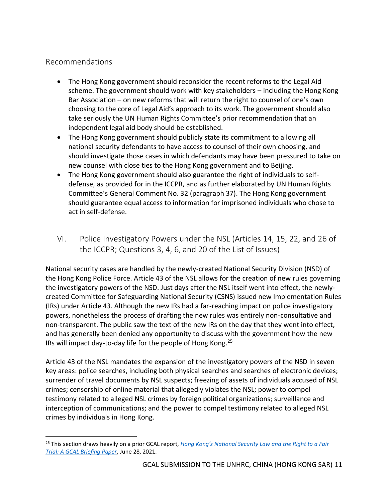#### Recommendations

- The Hong Kong government should reconsider the recent reforms to the Legal Aid scheme. The government should work with key stakeholders – including the Hong Kong Bar Association – on new reforms that will return the right to counsel of one's own choosing to the core of Legal Aid's approach to its work. The government should also take seriously the UN Human Rights Committee's prior recommendation that an independent legal aid body should be established.
- The Hong Kong government should publicly state its commitment to allowing all national security defendants to have access to counsel of their own choosing, and should investigate those cases in which defendants may have been pressured to take on new counsel with close ties to the Hong Kong government and to Beijing.
- The Hong Kong government should also guarantee the right of individuals to selfdefense, as provided for in the ICCPR, and as further elaborated by UN Human Rights Committee's General Comment No. 32 (paragraph 37). The Hong Kong government should guarantee equal access to information for imprisoned individuals who chose to act in self-defense.
- <span id="page-12-0"></span>VI. Police Investigatory Powers under the NSL (Articles 14, 15, 22, and 26 of the ICCPR; Questions 3, 4, 6, and 20 of the List of Issues)

National security cases are handled by the newly-created National Security Division (NSD) of the Hong Kong Police Force. Article 43 of the NSL allows for the creation of new rules governing the investigatory powers of the NSD. Just days after the NSL itself went into effect, the newlycreated Committee for Safeguarding National Security (CSNS) issued new Implementation Rules (IRs) under Article 43. Although the new IRs had a far-reaching impact on police investigatory powers, nonetheless the process of drafting the new rules was entirely non-consultative and non-transparent. The public saw the text of the new IRs on the day that they went into effect, and has generally been denied any opportunity to discuss with the government how the new IRs will impact day-to-day life for the people of Hong Kong.<sup>25</sup>

Article 43 of the NSL mandates the expansion of the investigatory powers of the NSD in seven key areas: police searches, including both physical searches and searches of electronic devices; surrender of travel documents by NSL suspects; freezing of assets of individuals accused of NSL crimes; censorship of online material that allegedly violates the NSL; power to compel testimony related to alleged NSL crimes by foreign political organizations; surveillance and interception of communications; and the power to compel testimony related to alleged NSL crimes by individuals in Hong Kong.

<sup>25</sup> This section draws heavily on a prior GCAL report, *[Hong Kong's National Security Law and the Right to a Fai](https://www.law.georgetown.edu/law-asia/wp-content/uploads/sites/31/2021/06/HongKongNSLRightToFairTrial.pdf)r [Trial: A GCAL Briefing Paper](https://www.law.georgetown.edu/law-asia/wp-content/uploads/sites/31/2021/06/HongKongNSLRightToFairTrial.pdf)*, June 28, 2021.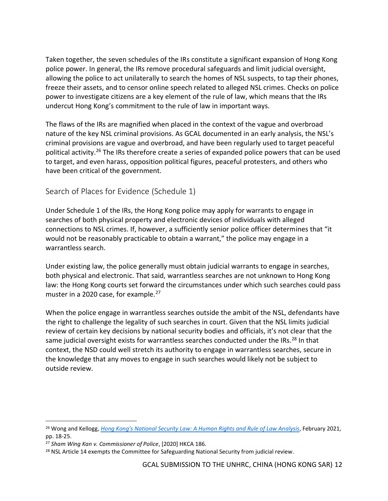Taken together, the seven schedules of the IRs constitute a significant expansion of Hong Kong police power. In general, the IRs remove procedural safeguards and limit judicial oversight, allowing the police to act unilaterally to search the homes of NSL suspects, to tap their phones, freeze their assets, and to censor online speech related to alleged NSL crimes. Checks on police power to investigate citizens are a key element of the rule of law, which means that the IRs undercut Hong Kong's commitment to the rule of law in important ways.

The flaws of the IRs are magnified when placed in the context of the vague and overbroad nature of the key NSL criminal provisions. As GCAL documented in an early analysis, the NSL's criminal provisions are vague and overbroad, and have been regularly used to target peaceful political activity.<sup>26</sup> The IRs therefore create a series of expanded police powers that can be used to target, and even harass, opposition political figures, peaceful protesters, and others who have been critical of the government.

#### <span id="page-13-0"></span>Search of Places for Evidence (Schedule 1)

Under Schedule 1 of the IRs, the Hong Kong police may apply for warrants to engage in searches of both physical property and electronic devices of individuals with alleged connections to NSL crimes. If, however, a sufficiently senior police officer determines that "it would not be reasonably practicable to obtain a warrant," the police may engage in a warrantless search.

Under existing law, the police generally must obtain judicial warrants to engage in searches, both physical and electronic. That said, warrantless searches are not unknown to Hong Kong law: the Hong Kong courts set forward the circumstances under which such searches could pass muster in a 2020 case, for example.<sup>27</sup>

When the police engage in warrantless searches outside the ambit of the NSL, defendants have the right to challenge the legality of such searches in court. Given that the NSL limits judicial review of certain key decisions by national security bodies and officials, it's not clear that the same judicial oversight exists for warrantless searches conducted under the IRs.<sup>28</sup> In that context, the NSD could well stretch its authority to engage in warrantless searches, secure in the knowledge that any moves to engage in such searches would likely not be subject to outside review.

<span id="page-13-1"></span><sup>26</sup> Wong and Kellogg, *[Hong Kong's National Security Law: A Human Rights and Rule of Law An](https://www.law.georgetown.edu/law-asia/wp-content/uploads/sites/31/2021/02/GT-HK-Report-Accessible.pdf)alysis*, February 2021, pp. 18-25.

<sup>27</sup> *Sham Wing Kan v. Commissioner of Police*, [2020] HKCA 186.

<sup>&</sup>lt;sup>28</sup> NSL Article 14 exempts the Committee for Safeguarding National Security from judicial review.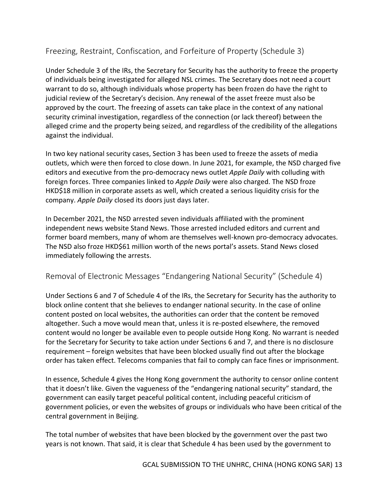## Freezing, Restraint, Confiscation, and Forfeiture of Property (Schedule 3)

Under Schedule 3 of the IRs, the Secretary for Security has the authority to freeze the property of individuals being investigated for alleged NSL crimes. The Secretary does not need a court warrant to do so, although individuals whose property has been frozen do have the right to judicial review of the Secretary's decision. Any renewal of the asset freeze must also be approved by the court. The freezing of assets can take place in the context of any national security criminal investigation, regardless of the connection (or lack thereof) between the alleged crime and the property being seized, and regardless of the credibility of the allegations against the individual.

In two key national security cases, Section 3 has been used to freeze the assets of media outlets, which were then forced to close down. In June 2021, for example, the NSD charged five editors and executive from the pro-democracy news outlet *Apple Daily* with colluding with foreign forces. Three companies linked to *Apple Daily* were also charged. The NSD froze HKD\$18 million in corporate assets as well, which created a serious liquidity crisis for the company. *Apple Daily* closed its doors just days later.

In December 2021, the NSD arrested seven individuals affiliated with the prominent independent news website Stand News. Those arrested included editors and current and former board members, many of whom are themselves well-known pro-democracy advocates. The NSD also froze HKD\$61 million worth of the news portal's assets. Stand News closed immediately following the arrests.

#### <span id="page-14-0"></span>Removal of Electronic Messages "Endangering National Security" (Schedule 4)

Under Sections 6 and 7 of Schedule 4 of the IRs, the Secretary for Security has the authority to block online content that she believes to endanger national security. In the case of online content posted on local websites, the authorities can order that the content be removed altogether. Such a move would mean that, unless it is re-posted elsewhere, the removed content would no longer be available even to people outside Hong Kong. No warrant is needed for the Secretary for Security to take action under Sections 6 and 7, and there is no disclosure requirement – foreign websites that have been blocked usually find out after the blockage order has taken effect. Telecoms companies that fail to comply can face fines or imprisonment.

In essence, Schedule 4 gives the Hong Kong government the authority to censor online content that it doesn't like. Given the vagueness of the "endangering national security" standard, the government can easily target peaceful political content, including peaceful criticism of government policies, or even the websites of groups or individuals who have been critical of the central government in Beijing.

The total number of websites that have been blocked by the government over the past two years is not known. That said, it is clear that Schedule 4 has been used by the government to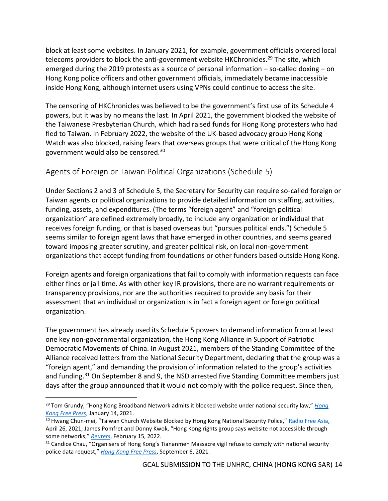block at least some websites. In January 2021, for example, government officials ordered local telecoms providers to block the anti-government website HKChronicles.<sup>29</sup> The site, which emerged during the 2019 protests as a source of personal information – so-called doxing – on Hong Kong police officers and other government officials, immediately became inaccessible inside Hong Kong, although internet users using VPNs could continue to access the site.

The censoring of HKChronicles was believed to be the government's first use of its Schedule 4 powers, but it was by no means the last. In April 2021, the government blocked the website of the Taiwanese Presbyterian Church, which had raised funds for Hong Kong protesters who had fled to Taiwan. In February 2022, the website of the UK-based advocacy group Hong Kong Watch was also blocked, raising fears that overseas groups that were critical of the Hong Kong government would also be censored.<sup>30</sup>

## <span id="page-15-0"></span>Agents of Foreign or Taiwan Political Organizations (Schedule 5)

Under Sections 2 and 3 of Schedule 5, the Secretary for Security can require so-called foreign or Taiwan agents or political organizations to provide detailed information on staffing, activities, funding, assets, and expenditures. (The terms "foreign agent" and "foreign political organization" are defined extremely broadly, to include any organization or individual that receives foreign funding, or that is based overseas but "pursues political ends.") Schedule 5 seems similar to foreign agent laws that have emerged in other countries, and seems geared toward imposing greater scrutiny, and greater political risk, on local non-government organizations that accept funding from foundations or other funders based outside Hong Kong.

Foreign agents and foreign organizations that fail to comply with information requests can face either fines or jail time. As with other key IR provisions, there are no warrant requirements or transparency provisions, nor are the authorities required to provide any basis for their assessment that an individual or organization is in fact a foreign agent or foreign political organization.

The government has already used its Schedule 5 powers to demand information from at least one key non-governmental organization, the Hong Kong Alliance in Support of Patriotic Democratic Movements of China. In August 2021, members of the Standing Committee of the Alliance received letters from the National Security Department, declaring that the group was a "foreign agent," and demanding the provision of information related to the group's activities and funding.<sup>31</sup> On September 8 and 9, the NSD arrested five Standing Committee members just days after the group announced that it would not comply with the police request. Since then,

<sup>29</sup> Tom Grundy, "Hong Kong Broadband Network admits it blocked website under national security law," *[Hong](https://hongkongfp.com/2021/01/14/hong-kong-broadband-network-admits-it-blocked-website-under-national-security-law/)  [Kong Free Press](https://hongkongfp.com/2021/01/14/hong-kong-broadband-network-admits-it-blocked-website-under-national-security-law/)*, January 14, 2021.

<sup>&</sup>lt;sup>30</sup> Hwang Chun-mei, "Taiwan Church Website Blocked by Hong Kong National Security Police," [Radio Free Asia,](https://www.rfa.org/english/news/china/hongkong-taiwan-04262021140315.html#:~:text=National%20security%20police%20in%20Hong,organizers%20told%20RFA%20on%20Monday.) April 26, 2021; James Pomfret and Donny Kwok, "Hong Kong rights group says website not accessible through some networks," *[Reuters](https://www.reuters.com/world/china/hong-kong-rights-group-says-website-not-accessible-through-some-networks-2022-02-15/)*, February 15, 2022.

<sup>&</sup>lt;sup>31</sup> Candice Chau, "Organisers of Hong Kong's Tiananmen Massacre vigil refuse to comply with national security police data request," *[Hong Kong Free Press](https://hongkongfp.com/2021/09/06/organisers-of-hong-kongs-tiananmen-massacre-vigil-refuse-to-comply-with-national-security-police-data-request/)*, September 6, 2021.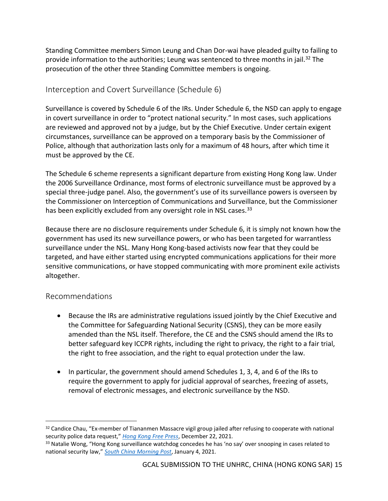Standing Committee members Simon Leung and Chan Dor-wai have pleaded guilty to failing to provide information to the authorities; Leung was sentenced to three months in jail.<sup>32</sup> The prosecution of the other three Standing Committee members is ongoing.

#### <span id="page-16-0"></span>Interception and Covert Surveillance (Schedule 6)

Surveillance is covered by Schedule 6 of the IRs. Under Schedule 6, the NSD can apply to engage in covert surveillance in order to "protect national security." In most cases, such applications are reviewed and approved not by a judge, but by the Chief Executive. Under certain exigent circumstances, surveillance can be approved on a temporary basis by the Commissioner of Police, although that authorization lasts only for a maximum of 48 hours, after which time it must be approved by the CE.

The Schedule 6 scheme represents a significant departure from existing Hong Kong law. Under the 2006 Surveillance Ordinance, most forms of electronic surveillance must be approved by a special three-judge panel. Also, the government's use of its surveillance powers is overseen by the Commissioner on Interception of Communications and Surveillance, but the Commissioner has been explicitly excluded from any oversight role in NSL cases.<sup>33</sup>

Because there are no disclosure requirements under Schedule 6, it is simply not known how the government has used its new surveillance powers, or who has been targeted for warrantless surveillance under the NSL. Many Hong Kong-based activists now fear that they could be targeted, and have either started using encrypted communications applications for their more sensitive communications, or have stopped communicating with more prominent exile activists altogether.

## Recommendations

- Because the IRs are administrative regulations issued jointly by the Chief Executive and the Committee for Safeguarding National Security (CSNS), they can be more easily amended than the NSL itself. Therefore, the CE and the CSNS should amend the IRs to better safeguard key ICCPR rights, including the right to privacy, the right to a fair trial, the right to free association, and the right to equal protection under the law.
- In particular, the government should amend Schedules 1, 3, 4, and 6 of the IRs to require the government to apply for judicial approval of searches, freezing of assets, removal of electronic messages, and electronic surveillance by the NSD.

<sup>&</sup>lt;sup>32</sup> Candice Chau, "Ex-member of Tiananmen Massacre vigil group jailed after refusing to cooperate with national security police data request," *[Hong Kong Free Press](https://hongkongfp.com/2021/12/22/ex-member-of-tiananmen-massacre-vigil-group-jailed-after-refusing-to-cooperate-with-national-security-police-data-request/)*, December 22, 2021.

<sup>&</sup>lt;sup>33</sup> Natalie Wong, "Hong Kong surveillance watchdog concedes he has 'no say' over snooping in cases related to national security law," *[South China Morning Post](https://www.scmp.com/news/hong-kong/politics/article/3116384/hong-kong-surveillance-watchdog-concedes-he-has-no-say-over)*, January 4, 2021.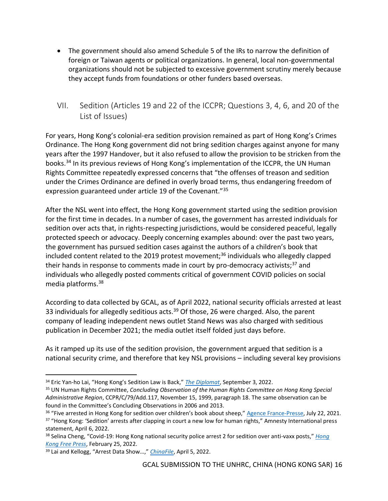- The government should also amend Schedule 5 of the IRs to narrow the definition of foreign or Taiwan agents or political organizations. In general, local non-governmental organizations should not be subjected to excessive government scrutiny merely because they accept funds from foundations or other funders based overseas.
- <span id="page-17-0"></span>VII. Sedition (Articles 19 and 22 of the ICCPR; Questions 3, 4, 6, and 20 of the List of Issues)

For years, Hong Kong's colonial-era sedition provision remained as part of Hong Kong's Crimes Ordinance. The Hong Kong government did not bring sedition charges against anyone for many years after the 1997 Handover, but it also refused to allow the provision to be stricken from the books.<sup>34</sup> In its previous reviews of Hong Kong's implementation of the ICCPR, the UN Human Rights Committee repeatedly expressed concerns that "the offenses of treason and sedition under the Crimes Ordinance are defined in overly broad terms, thus endangering freedom of expression guaranteed under article 19 of the Covenant."<sup>35</sup>

After the NSL went into effect, the Hong Kong government started using the sedition provision for the first time in decades. In a number of cases, the government has arrested individuals for sedition over acts that, in rights-respecting jurisdictions, would be considered peaceful, legally protected speech or advocacy. Deeply concerning examples abound: over the past two years, the government has pursued sedition cases against the authors of a children's book that included content related to the 2019 protest movement;<sup>36</sup> individuals who allegedly clapped their hands in response to comments made in court by pro-democracy activists;<sup>37</sup> and individuals who allegedly posted comments critical of government COVID policies on social media platforms.<sup>38</sup>

According to data collected by GCAL, as of April 2022, national security officials arrested at least 33 individuals for allegedly seditious acts.<sup>39</sup> Of those, 26 were charged. Also, the parent company of leading independent news outlet Stand News was also charged with seditious publication in December 2021; the media outlet itself folded just days before.

As it ramped up its use of the sedition provision, the government argued that sedition is a national security crime, and therefore that key NSL provisions – including several key provisions

<sup>34</sup> Eric Yan-ho Lai, "Hong Kong's Sedition Law is Back," *[The Diplomat](https://thediplomat.com/2021/09/hong-kongs-sedition-law-is-back/)*, September 3, 2022.

<sup>35</sup> UN Human Rights Committee, *Concluding Observation of the Human Rights Committee on Hong Kong Special Administrative Region*, CCPR/C/79/Add.117, November 15, 1999, paragraph 18. The same observation can be found in the Committee's Concluding Observations in 2006 and 2013.

<sup>&</sup>lt;sup>36</sup> "Five arrested in Hong Kong for sedition over children's book about sheep," [Agence France-Presse,](https://www.theguardian.com/world/2021/jul/22/five-arrested-in-hong-kong-for-sedition-over-childrens-book-about-sheep) July 22, 2021. <sup>37</sup> "Hong Kong: 'Sedition' arrests after clapping in court a new low for human rights," Amnesty International press statement, April 6, 2022.

<sup>38</sup> Selina Cheng, "Covid-19: Hong Kong national security police arrest 2 for sedition over anti-vaxx posts," *[Hong](https://hongkongfp.com/2022/02/25/covid-19-hong-kong-national-security-police-arrest-2-for-sedition-over-anti-vaxx-posts/)  [Kong Free Press](https://hongkongfp.com/2022/02/25/covid-19-hong-kong-national-security-police-arrest-2-for-sedition-over-anti-vaxx-posts/)*, February 25, 2022.

<sup>39</sup> Lai and Kellogg, "Arrest Data Show…," *[ChinaFile](https://www.chinafile.com/reporting-opinion/features/arrest-data-show-national-security-law-has-dealt-hard-blow-free)*, April 5, 2022.